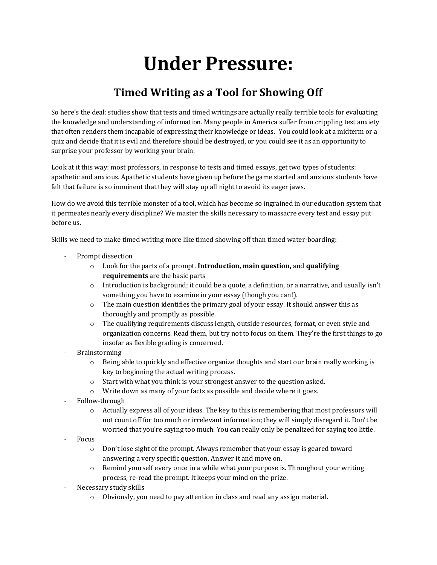## **Under Pressure:**

## **Timed Writing as a Tool for Showing Off**

So here's the deal: studies show that tests and timed writings are actually really terrible tools for evaluating the knowledge and understanding of information. Many people in America suffer from crippling test anxiety that often renders them incapable of expressing their knowledge or ideas. You could look at a midterm or a quiz and decide that it is evil and therefore should be destroyed, or you could see it as an opportunity to surprise your professor by working your brain.

Look at it this way: most professors, in response to tests and timed essays, get two types of students: apathetic and anxious. Apathetic students have given up before the game started and anxious students have felt that failure is so imminent that they will stay up all night to avoid its eager jaws.

How do we avoid this terrible monster of a tool, which has become so ingrained in our education system that it permeates nearly every discipline? We master the skills necessary to massacre every test and essay put before us.

Skills we need to make timed writing more like timed showing off than timed water-boarding:

- Prompt dissection
	- o Look for the parts of a prompt. **Introduction, main question,** and **qualifying requirements** are the basic parts
	- o Introduction is background; it could be a quote, a definition, or a narrative, and usually isn't something you have to examine in your essay (though you can!).
	- $\circ$  The main question identifies the primary goal of your essay. It should answer this as thoroughly and promptly as possible.
	- o The qualifying requirements discuss length, outside resources, format, or even style and organization concerns. Read them, but try not to focus on them. They're the first things to go insofar as flexible grading is concerned.
- **Brainstorming** 
	- $\circ$  Being able to quickly and effective organize thoughts and start our brain really working is key to beginning the actual writing process.
	- o Start with what you think is your strongest answer to the question asked.
	- o Write down as many of your facts as possible and decide where it goes.
- Follow-through
	- $\circ$  Actually express all of your ideas. The key to this is remembering that most professors will not count off for too much or irrelevant information; they will simply disregard it. Don't be worried that you're saying too much. You can really only be penalized for saying too little.
- Focus
	- $\circ$  Don't lose sight of the prompt. Always remember that your essay is geared toward answering a very specific question. Answer it and move on.
	- $\circ$  Remind yourself every once in a while what your purpose is. Throughout your writing process, re-read the prompt. It keeps your mind on the prize.
- Necessary study skills
	- Obviously, you need to pay attention in class and read any assign material.